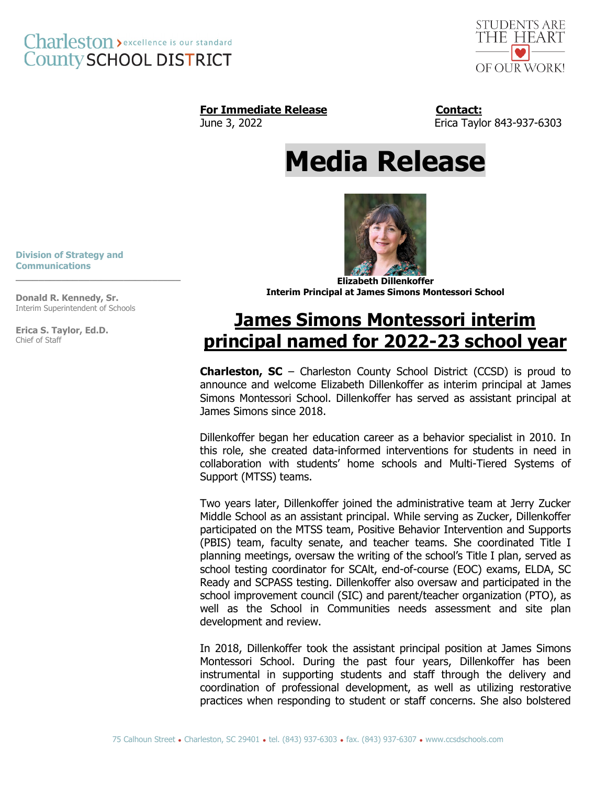



### For Immediate Release **Contact:**

June 3, 2022 Erica Taylor 843-937-6303

# **Media Release**

**Division of Strategy and Communications**

**Donald R. Kennedy, Sr.** Interim Superintendent of Schools

**\_\_\_\_\_\_\_\_\_\_\_\_\_\_\_\_\_\_\_\_\_\_\_\_\_\_\_\_\_**

**Erica S. Taylor, Ed.D.** Chief of Staff



**Elizabeth Dillenkoffer Interim Principal at James Simons Montessori School**

## **James Simons Montessori interim principal named for 2022-23 school year**

**Charleston, SC** – Charleston County School District (CCSD) is proud to announce and welcome Elizabeth Dillenkoffer as interim principal at James Simons Montessori School. Dillenkoffer has served as assistant principal at James Simons since 2018.

Dillenkoffer began her education career as a behavior specialist in 2010. In this role, she created data-informed interventions for students in need in collaboration with students' home schools and Multi-Tiered Systems of Support (MTSS) teams.

Two years later, Dillenkoffer joined the administrative team at Jerry Zucker Middle School as an assistant principal. While serving as Zucker, Dillenkoffer participated on the MTSS team, Positive Behavior Intervention and Supports (PBIS) team, faculty senate, and teacher teams. She coordinated Title I planning meetings, oversaw the writing of the school's Title I plan, served as school testing coordinator for SCAlt, end-of-course (EOC) exams, ELDA, SC Ready and SCPASS testing. Dillenkoffer also oversaw and participated in the school improvement council (SIC) and parent/teacher organization (PTO), as well as the School in Communities needs assessment and site plan development and review.

In 2018, Dillenkoffer took the assistant principal position at James Simons Montessori School. During the past four years, Dillenkoffer has been instrumental in supporting students and staff through the delivery and coordination of professional development, as well as utilizing restorative practices when responding to student or staff concerns. She also bolstered